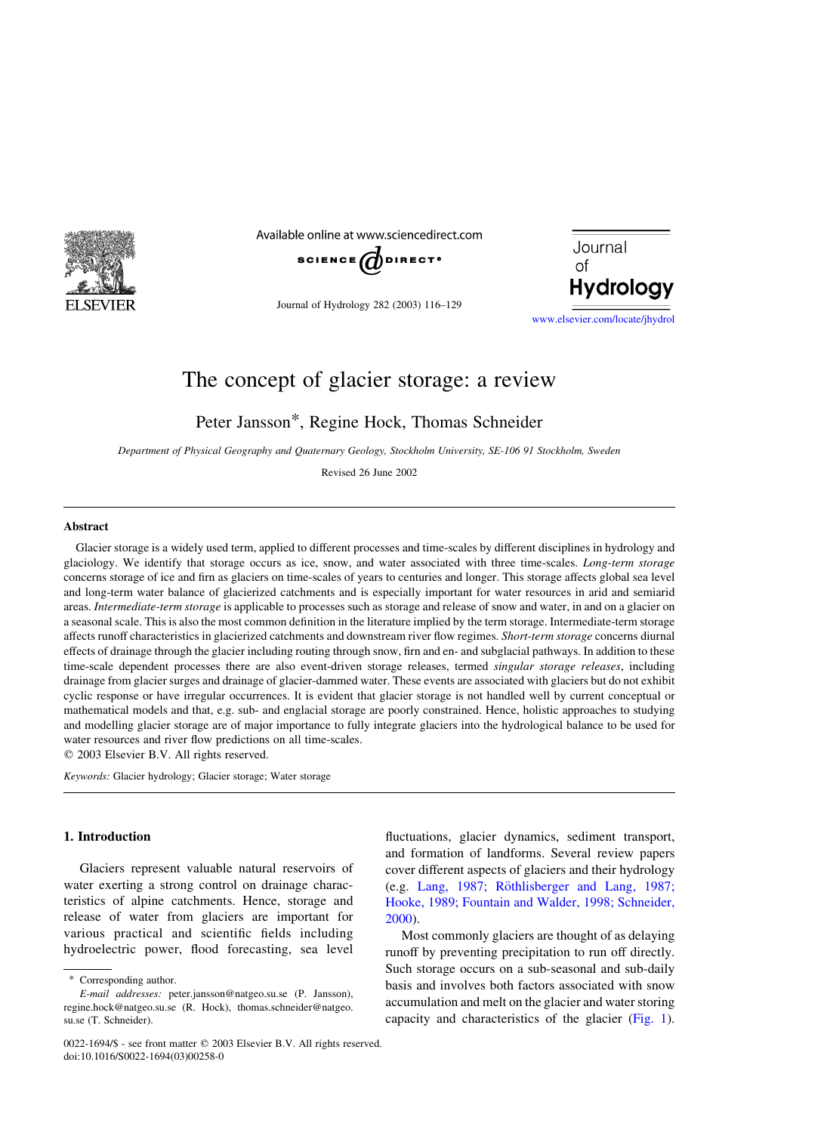

Available online at www.sciencedirect.com

SCIENCE  $\omega$  Direct.

Journal of Hydrology 282 (2003) 116–129



[www.elsevier.com/locate/jhydrol](http://www.elsevier.com/locate/jhydrol)

# The concept of glacier storage: a review

## Peter Jansson\*, Regine Hock, Thomas Schneider

Department of Physical Geography and Quaternary Geology, Stockholm University, SE-106 91 Stockholm, Sweden

Revised 26 June 2002

## **Abstract**

Glacier storage is a widely used term, applied to different processes and time-scales by different disciplines in hydrology and glaciology. We identify that storage occurs as ice, snow, and water associated with three time-scales. Long-term storage concerns storage of ice and firn as glaciers on time-scales of years to centuries and longer. This storage affects global sea level and long-term water balance of glacierized catchments and is especially important for water resources in arid and semiarid areas. Intermediate-term storage is applicable to processes such as storage and release of snow and water, in and on a glacier on a seasonal scale. This is also the most common definition in the literature implied by the term storage. Intermediate-term storage affects runoff characteristics in glacierized catchments and downstream river flow regimes. Short-term storage concerns diurnal effects of drainage through the glacier including routing through snow, firn and en- and subglacial pathways. In addition to these time-scale dependent processes there are also event-driven storage releases, termed singular storage releases, including drainage from glacier surges and drainage of glacier-dammed water. These events are associated with glaciers but do not exhibit cyclic response or have irregular occurrences. It is evident that glacier storage is not handled well by current conceptual or mathematical models and that, e.g. sub- and englacial storage are poorly constrained. Hence, holistic approaches to studying and modelling glacier storage are of major importance to fully integrate glaciers into the hydrological balance to be used for water resources and river flow predictions on all time-scales.

 $Q$  2003 Elsevier B.V. All rights reserved.

Keywords: Glacier hydrology; Glacier storage; Water storage

## 1. Introduction

Glaciers represent valuable natural reservoirs of water exerting a strong control on drainage characteristics of alpine catchments. Hence, storage and release of water from glaciers are important for various practical and scientific fields including hydroelectric power, flood forecasting, sea level

Corresponding author.

fluctuations, glacier dynamics, sediment transport, and formation of landforms. Several review papers cover different aspects of glaciers and their hydrology (e.g. Lang, 1987; Röthlisberger and Lang, 1987; [Hooke, 1989; Fountain and Walder, 1998; Schneider,](#page-12-0) [2000](#page-12-0)).

Most commonly glaciers are thought of as delaying runoff by preventing precipitation to run off directly. Such storage occurs on a sub-seasonal and sub-daily basis and involves both factors associated with snow accumulation and melt on the glacier and water storing capacity and characteristics of the glacier [\(Fig. 1\)](#page-1-0).

E-mail addresses: peter.jansson@natgeo.su.se (P. Jansson), regine.hock@natgeo.su.se (R. Hock), thomas.schneider@natgeo. su.se (T. Schneider).

<sup>0022-1694/\$ -</sup> see front matter © 2003 Elsevier B.V. All rights reserved. doi:10.1016/S0022-1694(03)00258-0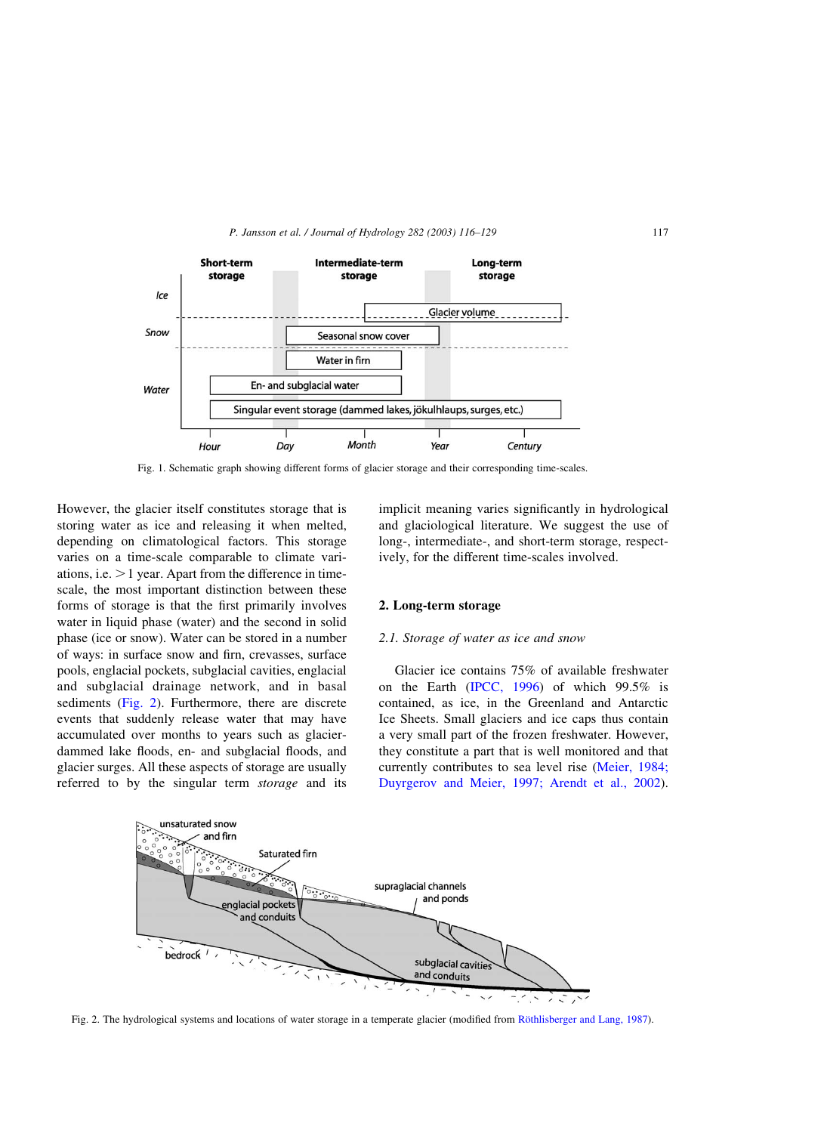<span id="page-1-0"></span>

Fig. 1. Schematic graph showing different forms of glacier storage and their corresponding time-scales.

However, the glacier itself constitutes storage that is storing water as ice and releasing it when melted, depending on climatological factors. This storage varies on a time-scale comparable to climate variations, i.e.  $>1$  year. Apart from the difference in timescale, the most important distinction between these forms of storage is that the first primarily involves water in liquid phase (water) and the second in solid phase (ice or snow). Water can be stored in a number of ways: in surface snow and firn, crevasses, surface pools, englacial pockets, subglacial cavities, englacial and subglacial drainage network, and in basal sediments (Fig. 2). Furthermore, there are discrete events that suddenly release water that may have accumulated over months to years such as glacierdammed lake floods, en- and subglacial floods, and glacier surges. All these aspects of storage are usually referred to by the singular term storage and its implicit meaning varies significantly in hydrological and glaciological literature. We suggest the use of long-, intermediate-, and short-term storage, respectively, for the different time-scales involved.

#### 2. Long-term storage

## 2.1. Storage of water as ice and snow

Glacier ice contains 75% of available freshwater on the Earth [\(IPCC, 1996\)](#page-11-0) of which 99.5% is contained, as ice, in the Greenland and Antarctic Ice Sheets. Small glaciers and ice caps thus contain a very small part of the frozen freshwater. However, they constitute a part that is well monitored and that currently contributes to sea level rise ([Meier, 1984;](#page-12-0) [Duyrgerov and Meier, 1997; Arendt et al., 2002](#page-12-0)).



Fig. 2. The hydrological systems and locations of water storage in a temperate glacier (modified from Röthlisberger and Lang, 1987).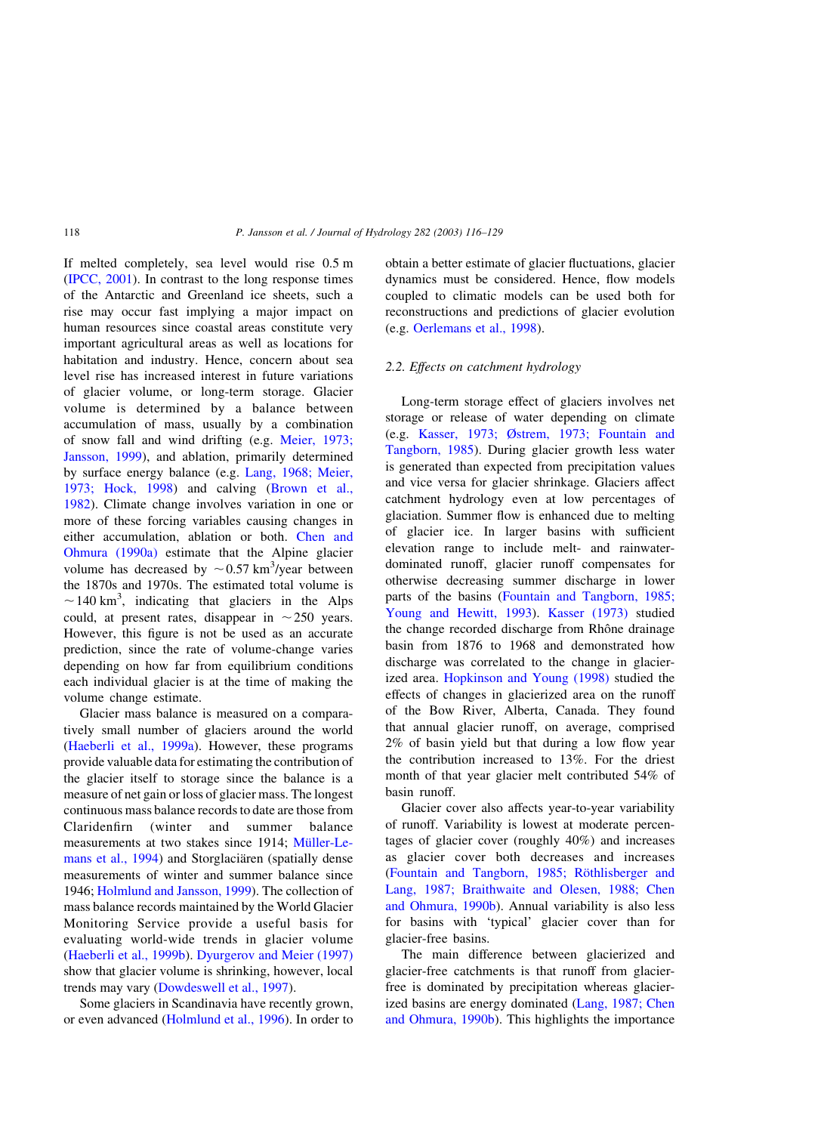If melted completely, sea level would rise 0.5 m ([IPCC, 2001\)](#page-11-0). In contrast to the long response times of the Antarctic and Greenland ice sheets, such a rise may occur fast implying a major impact on human resources since coastal areas constitute very important agricultural areas as well as locations for habitation and industry. Hence, concern about sea level rise has increased interest in future variations of glacier volume, or long-term storage. Glacier volume is determined by a balance between accumulation of mass, usually by a combination of snow fall and wind drifting (e.g. [Meier, 1973;](#page-12-0) [Jansson, 1999\)](#page-12-0), and ablation, primarily determined by surface energy balance (e.g. [Lang, 1968; Meier,](#page-12-0) [1973; Hock, 1998\)](#page-12-0) and calving [\(Brown et al.,](#page-10-0) [1982](#page-10-0)). Climate change involves variation in one or more of these forcing variables causing changes in either accumulation, ablation or both. [Chen and](#page-10-0) [Ohmura \(1990a\)](#page-10-0) estimate that the Alpine glacier volume has decreased by  $\sim 0.57 \text{ km}^3\text{/year}$  between the 1870s and 1970s. The estimated total volume is  $\sim$  140 km<sup>3</sup>, indicating that glaciers in the Alps could, at present rates, disappear in  $\sim$  250 years. However, this figure is not be used as an accurate prediction, since the rate of volume-change varies depending on how far from equilibrium conditions each individual glacier is at the time of making the volume change estimate.

Glacier mass balance is measured on a comparatively small number of glaciers around the world ([Haeberli et al., 1999a](#page-11-0)). However, these programs provide valuable data for estimating the contribution of the glacier itself to storage since the balance is a measure of net gain or loss of glacier mass. The longest continuous mass balance records to date are those from Claridenfirn (winter and summer balance measurements at two stakes since 1914; Müller-Le[mans et al., 1994\)](#page-12-0) and Storglaciaren (spatially dense measurements of winter and summer balance since 1946; [Holmlund and Jansson, 1999\)](#page-11-0). The collection of mass balance records maintained by the World Glacier Monitoring Service provide a useful basis for evaluating world-wide trends in glacier volume ([Haeberli et al., 1999b\)](#page-11-0). [Dyurgerov and Meier \(1997\)](#page-11-0) show that glacier volume is shrinking, however, local trends may vary ([Dowdeswell et al., 1997\)](#page-10-0).

Some glaciers in Scandinavia have recently grown, or even advanced ([Holmlund et al., 1996\)](#page-11-0). In order to obtain a better estimate of glacier fluctuations, glacier dynamics must be considered. Hence, flow models coupled to climatic models can be used both for reconstructions and predictions of glacier evolution (e.g. [Oerlemans et al., 1998](#page-12-0)).

## 2.2. Effects on catchment hydrology

Long-term storage effect of glaciers involves net storage or release of water depending on climate (e.g. [Kasser, 1973; Østrem, 1973; Fountain and](#page-11-0) [Tangborn, 1985](#page-11-0)). During glacier growth less water is generated than expected from precipitation values and vice versa for glacier shrinkage. Glaciers affect catchment hydrology even at low percentages of glaciation. Summer flow is enhanced due to melting of glacier ice. In larger basins with sufficient elevation range to include melt- and rainwaterdominated runoff, glacier runoff compensates for otherwise decreasing summer discharge in lower parts of the basins [\(Fountain and Tangborn, 1985;](#page-11-0) [Young and Hewitt, 1993](#page-11-0)). [Kasser \(1973\)](#page-11-0) studied the change recorded discharge from Rhône drainage basin from 1876 to 1968 and demonstrated how discharge was correlated to the change in glacierized area. [Hopkinson and Young \(1998\)](#page-11-0) studied the effects of changes in glacierized area on the runoff of the Bow River, Alberta, Canada. They found that annual glacier runoff, on average, comprised 2% of basin yield but that during a low flow year the contribution increased to 13%. For the driest month of that year glacier melt contributed 54% of basin runoff.

Glacier cover also affects year-to-year variability of runoff. Variability is lowest at moderate percentages of glacier cover (roughly 40%) and increases as glacier cover both decreases and increases (Fountain and Tangborn, 1985; Röthlisberger and [Lang, 1987; Braithwaite and Olesen, 1988; Chen](#page-11-0) [and Ohmura, 1990b\)](#page-11-0). Annual variability is also less for basins with 'typical' glacier cover than for glacier-free basins.

The main difference between glacierized and glacier-free catchments is that runoff from glacierfree is dominated by precipitation whereas glacierized basins are energy dominated ([Lang, 1987; Chen](#page-12-0) [and Ohmura, 1990b\)](#page-12-0). This highlights the importance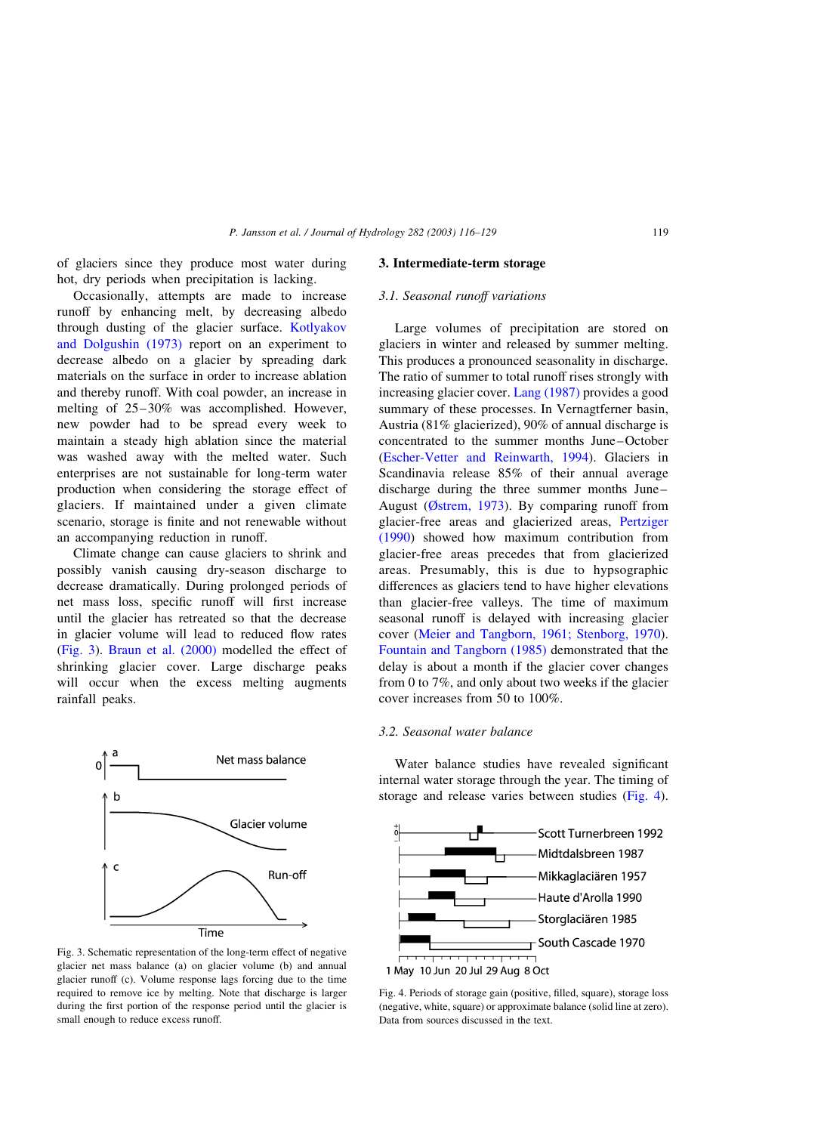

of glaciers since they produce most water during hot, dry periods when precipitation is lacking.

Occasionally, attempts are made to increase runoff by enhancing melt, by decreasing albedo through dusting of the glacier surface. [Kotlyakov](#page-12-0) [and Dolgushin \(1973\)](#page-12-0) report on an experiment to decrease albedo on a glacier by spreading dark materials on the surface in order to increase ablation and thereby runoff. With coal powder, an increase in melting of 25–30% was accomplished. However, new powder had to be spread every week to maintain a steady high ablation since the material was washed away with the melted water. Such enterprises are not sustainable for long-term water production when considering the storage effect of glaciers. If maintained under a given climate scenario, storage is finite and not renewable without an accompanying reduction in runoff.

Climate change can cause glaciers to shrink and possibly vanish causing dry-season discharge to decrease dramatically. During prolonged periods of net mass loss, specific runoff will first increase until the glacier has retreated so that the decrease in glacier volume will lead to reduced flow rates (Fig. 3). [Braun et al. \(2000\)](#page-10-0) modelled the effect of shrinking glacier cover. Large discharge peaks will occur when the excess melting augments rainfall peaks.



Fig. 3. Schematic representation of the long-term effect of negative glacier net mass balance (a) on glacier volume (b) and annual glacier runoff (c). Volume response lags forcing due to the time required to remove ice by melting. Note that discharge is larger during the first portion of the response period until the glacier is small enough to reduce excess runoff.

#### 3. Intermediate-term storage

## 3.1. Seasonal runoff variations

Large volumes of precipitation are stored on glaciers in winter and released by summer melting. This produces a pronounced seasonality in discharge. The ratio of summer to total runoff rises strongly with increasing glacier cover. [Lang \(1987\)](#page-12-0) provides a good summary of these processes. In Vernagtferner basin, Austria (81% glacierized), 90% of annual discharge is concentrated to the summer months June–October ([Escher-Vetter and Reinwarth, 1994\)](#page-11-0). Glaciers in Scandinavia release 85% of their annual average discharge during the three summer months June– August [\(Østrem, 1973\)](#page-12-0). By comparing runoff from glacier-free areas and glacierized areas, [Pertziger](#page-12-0) [\(1990\)](#page-12-0) showed how maximum contribution from glacier-free areas precedes that from glacierized areas. Presumably, this is due to hypsographic differences as glaciers tend to have higher elevations than glacier-free valleys. The time of maximum seasonal runoff is delayed with increasing glacier cover ([Meier and Tangborn, 1961; Stenborg, 1970](#page-12-0)). [Fountain and Tangborn \(1985\)](#page-11-0) demonstrated that the delay is about a month if the glacier cover changes from 0 to 7%, and only about two weeks if the glacier cover increases from 50 to 100%.

## 3.2. Seasonal water balance

Water balance studies have revealed significant internal water storage through the year. The timing of storage and release varies between studies (Fig. 4).



Fig. 4. Periods of storage gain (positive, filled, square), storage loss (negative, white, square) or approximate balance (solid line at zero). Data from sources discussed in the text.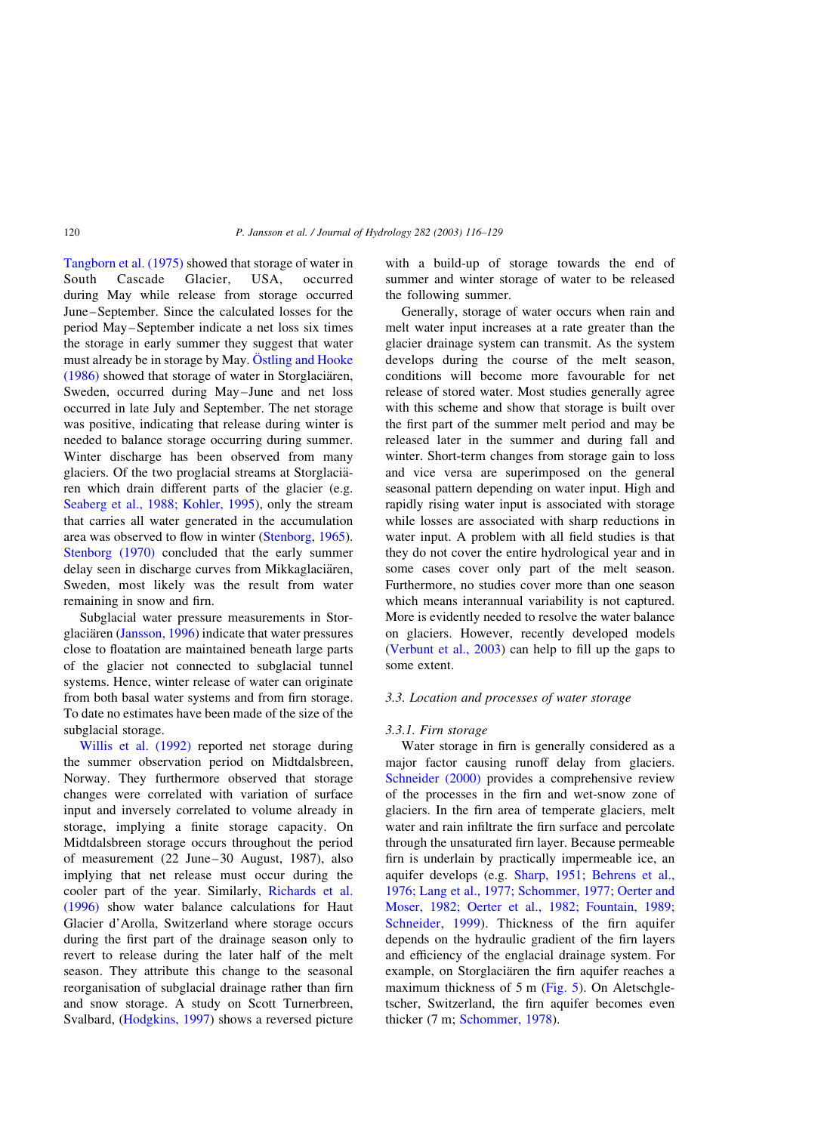[Tangborn et al. \(1975\)](#page-13-0) showed that storage of water in South Cascade Glacier, USA, occurred during May while release from storage occurred June–September. Since the calculated losses for the period May–September indicate a net loss six times the storage in early summer they suggest that water must already be in storage by May. Östling and Hooke  $(1986)$  showed that storage of water in Storglaciatien, Sweden, occurred during May–June and net loss occurred in late July and September. The net storage was positive, indicating that release during winter is needed to balance storage occurring during summer. Winter discharge has been observed from many glaciers. Of the two proglacial streams at Storglaciaren which drain different parts of the glacier (e.g. [Seaberg et al., 1988; Kohler, 1995\)](#page-13-0), only the stream that carries all water generated in the accumulation area was observed to flow in winter ([Stenborg, 1965\)](#page-13-0). [Stenborg \(1970\)](#page-13-0) concluded that the early summer delay seen in discharge curves from Mikkaglaciären, Sweden, most likely was the result from water remaining in snow and firn.

Subglacial water pressure measurements in Stor-glaciaïren [\(Jansson, 1996\)](#page-11-0) indicate that water pressures close to floatation are maintained beneath large parts of the glacier not connected to subglacial tunnel systems. Hence, winter release of water can originate from both basal water systems and from firn storage. To date no estimates have been made of the size of the subglacial storage.

[Willis et al. \(1992\)](#page-13-0) reported net storage during the summer observation period on Midtdalsbreen, Norway. They furthermore observed that storage changes were correlated with variation of surface input and inversely correlated to volume already in storage, implying a finite storage capacity. On Midtdalsbreen storage occurs throughout the period of measurement (22 June–30 August, 1987), also implying that net release must occur during the cooler part of the year. Similarly, [Richards et al.](#page-12-0) [\(1996\)](#page-12-0) show water balance calculations for Haut Glacier d'Arolla, Switzerland where storage occurs during the first part of the drainage season only to revert to release during the later half of the melt season. They attribute this change to the seasonal reorganisation of subglacial drainage rather than firn and snow storage. A study on Scott Turnerbreen, Svalbard, ([Hodgkins, 1997](#page-11-0)) shows a reversed picture

with a build-up of storage towards the end of summer and winter storage of water to be released the following summer.

Generally, storage of water occurs when rain and melt water input increases at a rate greater than the glacier drainage system can transmit. As the system develops during the course of the melt season, conditions will become more favourable for net release of stored water. Most studies generally agree with this scheme and show that storage is built over the first part of the summer melt period and may be released later in the summer and during fall and winter. Short-term changes from storage gain to loss and vice versa are superimposed on the general seasonal pattern depending on water input. High and rapidly rising water input is associated with storage while losses are associated with sharp reductions in water input. A problem with all field studies is that they do not cover the entire hydrological year and in some cases cover only part of the melt season. Furthermore, no studies cover more than one season which means interannual variability is not captured. More is evidently needed to resolve the water balance on glaciers. However, recently developed models ([Verbunt et al., 2003](#page-13-0)) can help to fill up the gaps to some extent.

## 3.3. Location and processes of water storage

## 3.3.1. Firn storage

Water storage in firn is generally considered as a major factor causing runoff delay from glaciers. [Schneider \(2000\)](#page-13-0) provides a comprehensive review of the processes in the firn and wet-snow zone of glaciers. In the firn area of temperate glaciers, melt water and rain infiltrate the firn surface and percolate through the unsaturated firn layer. Because permeable firn is underlain by practically impermeable ice, an aquifer develops (e.g. [Sharp, 1951; Behrens et al.,](#page-13-0) [1976; Lang et al., 1977; Schommer, 1977; Oerter and](#page-13-0) [Moser, 1982; Oerter et al., 1982; Fountain, 1989;](#page-13-0) [Schneider, 1999](#page-13-0)). Thickness of the firn aquifer depends on the hydraulic gradient of the firn layers and efficiency of the englacial drainage system. For example, on Storglaciaren the firn aquifer reaches a maximum thickness of 5 m ([Fig. 5](#page-5-0)). On Aletschgletscher, Switzerland, the firn aquifer becomes even thicker (7 m; [Schommer, 1978\)](#page-13-0).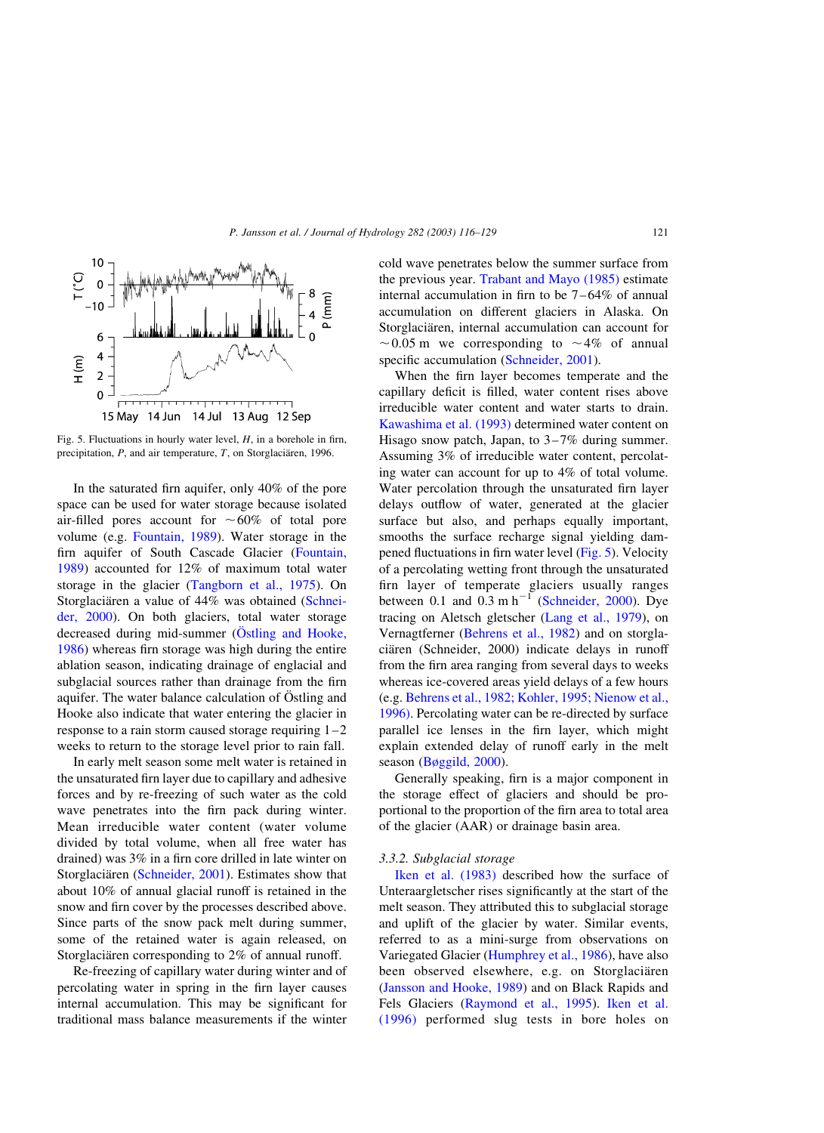

<span id="page-5-0"></span>

Fig. 5. Fluctuations in hourly water level,  $H$ , in a borehole in firn, precipitation,  $P$ , and air temperature,  $T$ , on Storglaciaren, 1996.

In the saturated firn aquifer, only 40% of the pore space can be used for water storage because isolated air-filled pores account for  $\sim 60\%$  of total pore volume (e.g. [Fountain, 1989](#page-11-0)). Water storage in the firn aquifer of South Cascade Glacier ([Fountain,](#page-11-0) [1989](#page-11-0)) accounted for 12% of maximum total water storage in the glacier ([Tangborn et al., 1975\)](#page-13-0). On Storglaciären a value of 44% was obtained [\(Schnei](#page-13-0)[der, 2000\)](#page-13-0). On both glaciers, total water storage decreased during mid-summer (Ostling and Hooke, [1986](#page-12-0)) whereas firn storage was high during the entire ablation season, indicating drainage of englacial and subglacial sources rather than drainage from the firn aquifer. The water balance calculation of Östling and Hooke also indicate that water entering the glacier in response to a rain storm caused storage requiring  $1-2$ weeks to return to the storage level prior to rain fall.

In early melt season some melt water is retained in the unsaturated firn layer due to capillary and adhesive forces and by re-freezing of such water as the cold wave penetrates into the firn pack during winter. Mean irreducible water content (water volume divided by total volume, when all free water has drained) was 3% in a firn core drilled in late winter on Storglaciären [\(Schneider, 2001\)](#page-13-0). Estimates show that about 10% of annual glacial runoff is retained in the snow and firn cover by the processes described above. Since parts of the snow pack melt during summer, some of the retained water is again released, on Storglaciativen corresponding to  $2\%$  of annual runoff.

Re-freezing of capillary water during winter and of percolating water in spring in the firn layer causes internal accumulation. This may be significant for traditional mass balance measurements if the winter cold wave penetrates below the summer surface from the previous year. [Trabant and Mayo \(1985\)](#page-13-0) estimate internal accumulation in firn to be 7–64% of annual accumulation on different glaciers in Alaska. On Storglaciären, internal accumulation can account for  $\sim$  0.05 m we corresponding to  $\sim$  4% of annual specific accumulation ([Schneider, 2001](#page-13-0)).

When the firn layer becomes temperate and the capillary deficit is filled, water content rises above irreducible water content and water starts to drain. [Kawashima et al. \(1993\)](#page-11-0) determined water content on Hisago snow patch, Japan, to 3–7% during summer. Assuming 3% of irreducible water content, percolating water can account for up to 4% of total volume. Water percolation through the unsaturated firn layer delays outflow of water, generated at the glacier surface but also, and perhaps equally important, smooths the surface recharge signal yielding dampened fluctuations in firn water level (Fig. 5). Velocity of a percolating wetting front through the unsaturated firn layer of temperate glaciers usually ranges between 0.1 and  $0.3 \text{ m h}^{-1}$  [\(Schneider, 2000\)](#page-13-0). Dye tracing on Aletsch gletscher [\(Lang et al., 1979](#page-12-0)), on Vernagtferner ([Behrens et al., 1982\)](#page-10-0) and on storglaciären (Schneider, 2000) indicate delays in runoff from the firn area ranging from several days to weeks whereas ice-covered areas yield delays of a few hours (e.g. [Behrens et al., 1982; Kohler, 1995; Nienow et al.,](#page-10-0) [1996\).](#page-10-0) Percolating water can be re-directed by surface parallel ice lenses in the firn layer, which might explain extended delay of runoff early in the melt season ([Bøggild, 2000](#page-10-0)).

Generally speaking, firn is a major component in the storage effect of glaciers and should be proportional to the proportion of the firn area to total area of the glacier (AAR) or drainage basin area.

## 3.3.2. Subglacial storage

[Iken et al. \(1983\)](#page-11-0) described how the surface of Unteraargletscher rises significantly at the start of the melt season. They attributed this to subglacial storage and uplift of the glacier by water. Similar events, referred to as a mini-surge from observations on Variegated Glacier ([Humphrey et al., 1986\)](#page-11-0), have also been observed elsewhere, e.g. on Storglaciären ([Jansson and Hooke, 1989](#page-11-0)) and on Black Rapids and Fels Glaciers ([Raymond et al., 1995](#page-12-0)). [Iken et al.](#page-11-0) [\(1996\)](#page-11-0) performed slug tests in bore holes on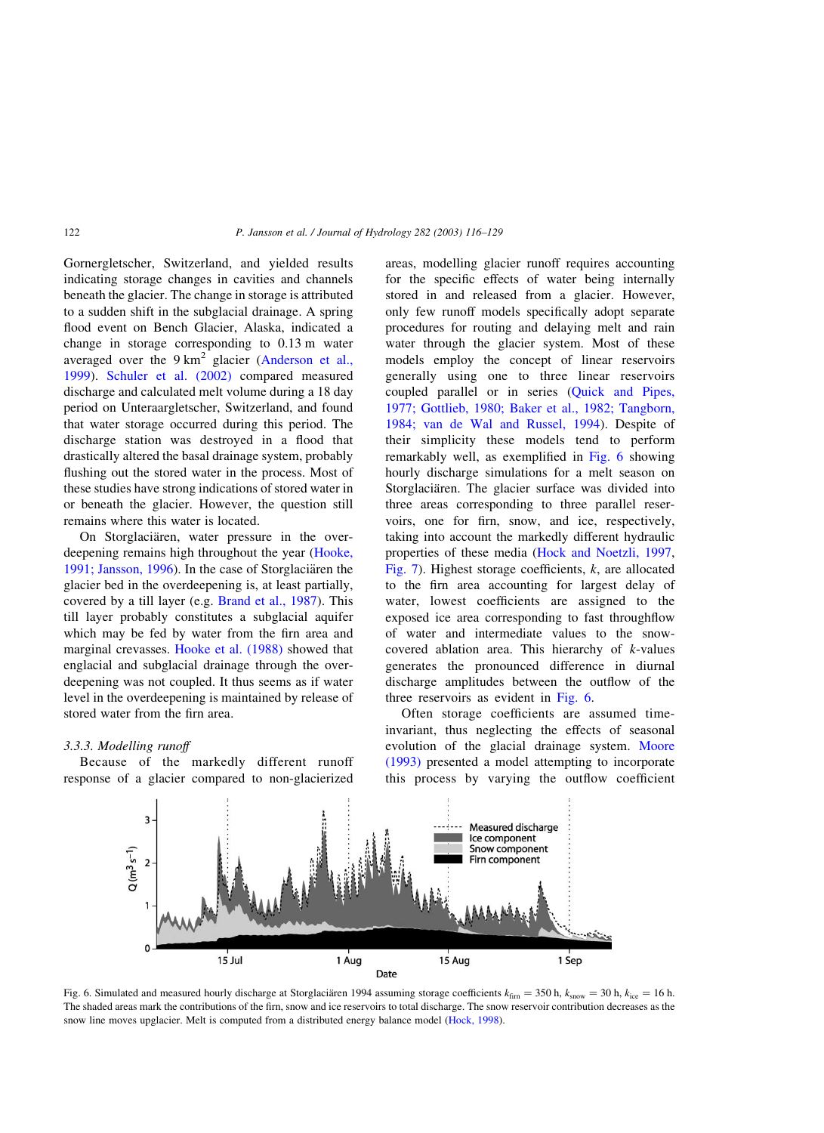

Gornergletscher, Switzerland, and yielded results indicating storage changes in cavities and channels beneath the glacier. The change in storage is attributed to a sudden shift in the subglacial drainage. A spring flood event on Bench Glacier, Alaska, indicated a change in storage corresponding to 0.13 m water averaged over the  $9 \text{ km}^2$  glacier ([Anderson et al.,](#page-10-0) [1999](#page-10-0)). [Schuler et al. \(2002\)](#page-13-0) compared measured discharge and calculated melt volume during a 18 day period on Unteraargletscher, Switzerland, and found that water storage occurred during this period. The discharge station was destroyed in a flood that drastically altered the basal drainage system, probably flushing out the stored water in the process. Most of these studies have strong indications of stored water in or beneath the glacier. However, the question still remains where this water is located.

On Storglaciären, water pressure in the overdeepening remains high throughout the year [\(Hooke,](#page-11-0) [1991; Jansson, 1996\)](#page-11-0). In the case of Storglaciativen the glacier bed in the overdeepening is, at least partially, covered by a till layer (e.g. [Brand et al., 1987\)](#page-10-0). This till layer probably constitutes a subglacial aquifer which may be fed by water from the firn area and marginal crevasses. [Hooke et al. \(1988\)](#page-11-0) showed that englacial and subglacial drainage through the overdeepening was not coupled. It thus seems as if water level in the overdeepening is maintained by release of stored water from the firn area.

## 3.3.3. Modelling runoff

Because of the markedly different runoff response of a glacier compared to non-glacierized

areas, modelling glacier runoff requires accounting for the specific effects of water being internally stored in and released from a glacier. However, only few runoff models specifically adopt separate procedures for routing and delaying melt and rain water through the glacier system. Most of these models employ the concept of linear reservoirs generally using one to three linear reservoirs coupled parallel or in series ([Quick and Pipes,](#page-12-0) [1977; Gottlieb, 1980; Baker et al., 1982; Tangborn,](#page-12-0) [1984; van de Wal and Russel, 1994](#page-12-0)). Despite of their simplicity these models tend to perform remarkably well, as exemplified in Fig. 6 showing hourly discharge simulations for a melt season on Storglaciären. The glacier surface was divided into three areas corresponding to three parallel reservoirs, one for firn, snow, and ice, respectively, taking into account the markedly different hydraulic properties of these media [\(Hock and Noetzli, 1997](#page-11-0), [Fig. 7\)](#page-7-0). Highest storage coefficients,  $k$ , are allocated to the firn area accounting for largest delay of water, lowest coefficients are assigned to the exposed ice area corresponding to fast throughflow of water and intermediate values to the snowcovered ablation area. This hierarchy of k-values generates the pronounced difference in diurnal discharge amplitudes between the outflow of the three reservoirs as evident in Fig. 6.

Often storage coefficients are assumed timeinvariant, thus neglecting the effects of seasonal evolution of the glacial drainage system. [Moore](#page-12-0) [\(1993\)](#page-12-0) presented a model attempting to incorporate this process by varying the outflow coefficient



Fig. 6. Simulated and measured hourly discharge at Storglaciären 1994 assuming storage coefficients  $k_{\text{firm}} = 350$  h,  $k_{\text{slow}} = 30$  h,  $k_{\text{ice}} = 16$  h. The shaded areas mark the contributions of the firn, snow and ice reservoirs to total discharge. The snow reservoir contribution decreases as the snow line moves upglacier. Melt is computed from a distributed energy balance model [\(Hock, 1998\)](#page-11-0).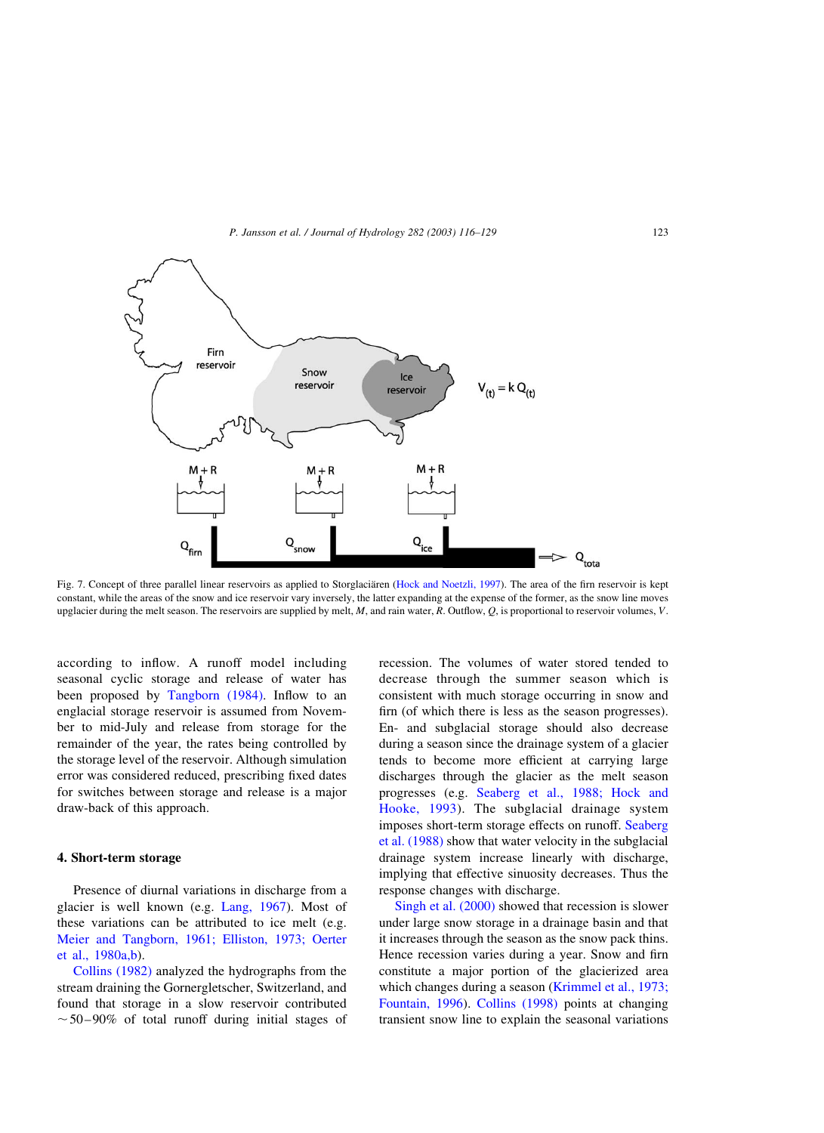

<span id="page-7-0"></span>

Fig. 7. Concept of three parallel linear reservoirs as applied to Storglaciären ([Hock and Noetzli, 1997](#page-11-0)). The area of the firn reservoir is kept constant, while the areas of the snow and ice reservoir vary inversely, the latter expanding at the expense of the former, as the snow line moves upglacier during the melt season. The reservoirs are supplied by melt,  $M$ , and rain water,  $R$ . Outflow,  $Q$ , is proportional to reservoir volumes,  $V$ .

according to inflow. A runoff model including seasonal cyclic storage and release of water has been proposed by [Tangborn \(1984\)](#page-13-0). Inflow to an englacial storage reservoir is assumed from November to mid-July and release from storage for the remainder of the year, the rates being controlled by the storage level of the reservoir. Although simulation error was considered reduced, prescribing fixed dates for switches between storage and release is a major draw-back of this approach.

## 4. Short-term storage

Presence of diurnal variations in discharge from a glacier is well known (e.g. [Lang, 1967\)](#page-12-0). Most of these variations can be attributed to ice melt (e.g. [Meier and Tangborn, 1961; Elliston, 1973; Oerter](#page-12-0) [et al., 1980a,b\)](#page-12-0).

[Collins \(1982\)](#page-10-0) analyzed the hydrographs from the stream draining the Gornergletscher, Switzerland, and found that storage in a slow reservoir contributed  $\sim$  50–90% of total runoff during initial stages of recession. The volumes of water stored tended to decrease through the summer season which is consistent with much storage occurring in snow and firn (of which there is less as the season progresses). En- and subglacial storage should also decrease during a season since the drainage system of a glacier tends to become more efficient at carrying large discharges through the glacier as the melt season progresses (e.g. [Seaberg et al., 1988; Hock and](#page-13-0) [Hooke, 1993\)](#page-13-0). The subglacial drainage system imposes short-term storage effects on runoff. [Seaberg](#page-13-0) [et al. \(1988\)](#page-13-0) show that water velocity in the subglacial drainage system increase linearly with discharge, implying that effective sinuosity decreases. Thus the response changes with discharge.

[Singh et al. \(2000\)](#page-13-0) showed that recession is slower under large snow storage in a drainage basin and that it increases through the season as the snow pack thins. Hence recession varies during a year. Snow and firn constitute a major portion of the glacierized area which changes during a season ([Krimmel et al., 1973;](#page-12-0) [Fountain, 1996](#page-12-0)). [Collins \(1998\)](#page-10-0) points at changing transient snow line to explain the seasonal variations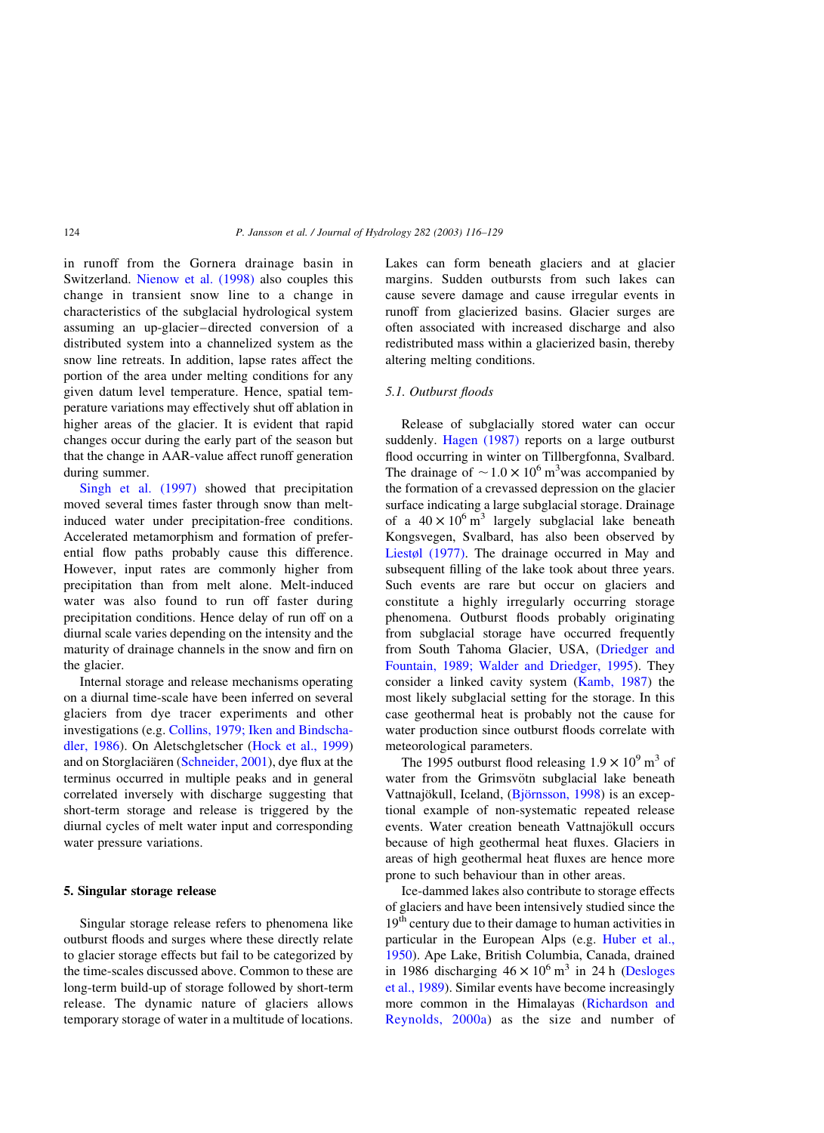in runoff from the Gornera drainage basin in Switzerland. [Nienow et al. \(1998\)](#page-12-0) also couples this change in transient snow line to a change in characteristics of the subglacial hydrological system assuming an up-glacier–directed conversion of a distributed system into a channelized system as the snow line retreats. In addition, lapse rates affect the portion of the area under melting conditions for any given datum level temperature. Hence, spatial temperature variations may effectively shut off ablation in higher areas of the glacier. It is evident that rapid changes occur during the early part of the season but that the change in AAR-value affect runoff generation during summer.

[Singh et al. \(1997\)](#page-13-0) showed that precipitation moved several times faster through snow than meltinduced water under precipitation-free conditions. Accelerated metamorphism and formation of preferential flow paths probably cause this difference. However, input rates are commonly higher from precipitation than from melt alone. Melt-induced water was also found to run off faster during precipitation conditions. Hence delay of run off on a diurnal scale varies depending on the intensity and the maturity of drainage channels in the snow and firn on the glacier.

Internal storage and release mechanisms operating on a diurnal time-scale have been inferred on several glaciers from dye tracer experiments and other investigations (e.g. [Collins, 1979; Iken and Bindscha](#page-10-0)[dler, 1986\)](#page-10-0). On Aletschgletscher ([Hock et al., 1999](#page-11-0)) and on Storglaciären ([Schneider, 2001](#page-13-0)), dye flux at the terminus occurred in multiple peaks and in general correlated inversely with discharge suggesting that short-term storage and release is triggered by the diurnal cycles of melt water input and corresponding water pressure variations.

## 5. Singular storage release

Singular storage release refers to phenomena like outburst floods and surges where these directly relate to glacier storage effects but fail to be categorized by the time-scales discussed above. Common to these are long-term build-up of storage followed by short-term release. The dynamic nature of glaciers allows temporary storage of water in a multitude of locations.

Lakes can form beneath glaciers and at glacier margins. Sudden outbursts from such lakes can cause severe damage and cause irregular events in runoff from glacierized basins. Glacier surges are often associated with increased discharge and also redistributed mass within a glacierized basin, thereby altering melting conditions.

## 5.1. Outburst floods

Release of subglacially stored water can occur suddenly. [Hagen \(1987\)](#page-11-0) reports on a large outburst flood occurring in winter on Tillbergfonna, Svalbard. The drainage of  $\sim$  1.0  $\times$  10<sup>6</sup> m<sup>3</sup> was accompanied by the formation of a crevassed depression on the glacier surface indicating a large subglacial storage. Drainage of a  $40 \times 10^6$  m<sup>3</sup> largely subglacial lake beneath Kongsvegen, Svalbard, has also been observed by [Liestøl \(1977\).](#page-12-0) The drainage occurred in May and subsequent filling of the lake took about three years. Such events are rare but occur on glaciers and constitute a highly irregularly occurring storage phenomena. Outburst floods probably originating from subglacial storage have occurred frequently from South Tahoma Glacier, USA, [\(Driedger and](#page-11-0) [Fountain, 1989; Walder and Driedger, 1995\)](#page-11-0). They consider a linked cavity system ([Kamb, 1987](#page-11-0)) the most likely subglacial setting for the storage. In this case geothermal heat is probably not the cause for water production since outburst floods correlate with meteorological parameters.

The 1995 outburst flood releasing  $1.9 \times 10^9$  m<sup>3</sup> of water from the Grimsvötn subglacial lake beneath Vattnajökull, Iceland, (Björnsson, 1998) is an exceptional example of non-systematic repeated release events. Water creation beneath Vattnajökull occurs because of high geothermal heat fluxes. Glaciers in areas of high geothermal heat fluxes are hence more prone to such behaviour than in other areas.

Ice-dammed lakes also contribute to storage effects of glaciers and have been intensively studied since the 19<sup>th</sup> century due to their damage to human activities in particular in the European Alps (e.g. [Huber et al.,](#page-11-0) [1950](#page-11-0)). Ape Lake, British Columbia, Canada, drained in 1986 discharging  $46 \times 10^6$  m<sup>3</sup> in 24 h [\(Desloges](#page-10-0) [et al., 1989](#page-10-0)). Similar events have become increasingly more common in the Himalayas [\(Richardson and](#page-12-0) [Reynolds, 2000a](#page-12-0)) as the size and number of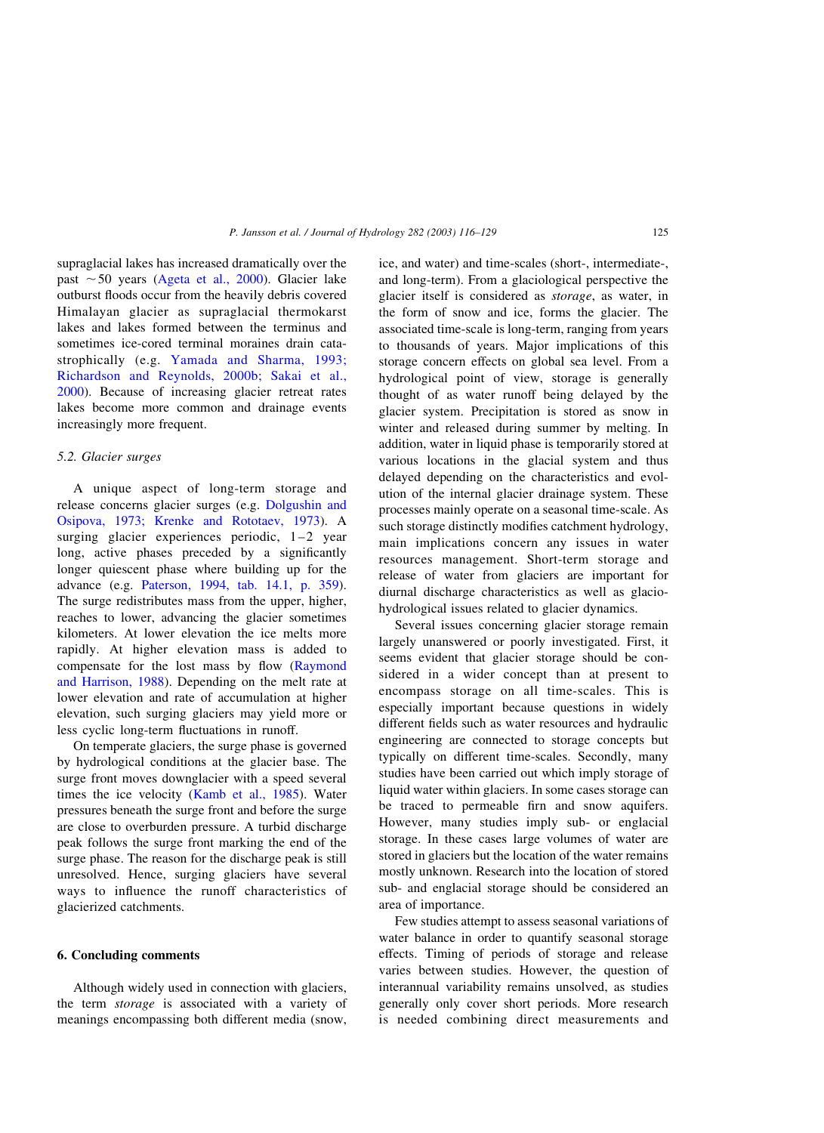supraglacial lakes has increased dramatically over the past  $\sim$  50 years [\(Ageta et al., 2000\)](#page-10-0). Glacier lake outburst floods occur from the heavily debris covered Himalayan glacier as supraglacial thermokarst lakes and lakes formed between the terminus and sometimes ice-cored terminal moraines drain catastrophically (e.g. [Yamada and Sharma, 1993;](#page-13-0) [Richardson and Reynolds, 2000b; Sakai et al.,](#page-13-0) [2000](#page-13-0)). Because of increasing glacier retreat rates lakes become more common and drainage events increasingly more frequent.

## 5.2. Glacier surges

A unique aspect of long-term storage and release concerns glacier surges (e.g. [Dolgushin and](#page-10-0) [Osipova, 1973; Krenke and Rototaev, 1973\)](#page-10-0). A surging glacier experiences periodic, 1–2 year long, active phases preceded by a significantly longer quiescent phase where building up for the advance (e.g. [Paterson, 1994, tab. 14.1, p. 359\)](#page-12-0). The surge redistributes mass from the upper, higher, reaches to lower, advancing the glacier sometimes kilometers. At lower elevation the ice melts more rapidly. At higher elevation mass is added to compensate for the lost mass by flow ([Raymond](#page-12-0) [and Harrison, 1988](#page-12-0)). Depending on the melt rate at lower elevation and rate of accumulation at higher elevation, such surging glaciers may yield more or less cyclic long-term fluctuations in runoff.

On temperate glaciers, the surge phase is governed by hydrological conditions at the glacier base. The surge front moves downglacier with a speed several times the ice velocity ([Kamb et al., 1985](#page-11-0)). Water pressures beneath the surge front and before the surge are close to overburden pressure. A turbid discharge peak follows the surge front marking the end of the surge phase. The reason for the discharge peak is still unresolved. Hence, surging glaciers have several ways to influence the runoff characteristics of glacierized catchments.

#### 6. Concluding comments

Although widely used in connection with glaciers, the term storage is associated with a variety of meanings encompassing both different media (snow, ice, and water) and time-scales (short-, intermediate-, and long-term). From a glaciological perspective the glacier itself is considered as storage, as water, in the form of snow and ice, forms the glacier. The associated time-scale is long-term, ranging from years to thousands of years. Major implications of this storage concern effects on global sea level. From a hydrological point of view, storage is generally thought of as water runoff being delayed by the glacier system. Precipitation is stored as snow in winter and released during summer by melting. In addition, water in liquid phase is temporarily stored at various locations in the glacial system and thus delayed depending on the characteristics and evolution of the internal glacier drainage system. These processes mainly operate on a seasonal time-scale. As such storage distinctly modifies catchment hydrology, main implications concern any issues in water resources management. Short-term storage and release of water from glaciers are important for diurnal discharge characteristics as well as glaciohydrological issues related to glacier dynamics.

Several issues concerning glacier storage remain largely unanswered or poorly investigated. First, it seems evident that glacier storage should be considered in a wider concept than at present to encompass storage on all time-scales. This is especially important because questions in widely different fields such as water resources and hydraulic engineering are connected to storage concepts but typically on different time-scales. Secondly, many studies have been carried out which imply storage of liquid water within glaciers. In some cases storage can be traced to permeable firn and snow aquifers. However, many studies imply sub- or englacial storage. In these cases large volumes of water are stored in glaciers but the location of the water remains mostly unknown. Research into the location of stored sub- and englacial storage should be considered an area of importance.

Few studies attempt to assess seasonal variations of water balance in order to quantify seasonal storage effects. Timing of periods of storage and release varies between studies. However, the question of interannual variability remains unsolved, as studies generally only cover short periods. More research is needed combining direct measurements and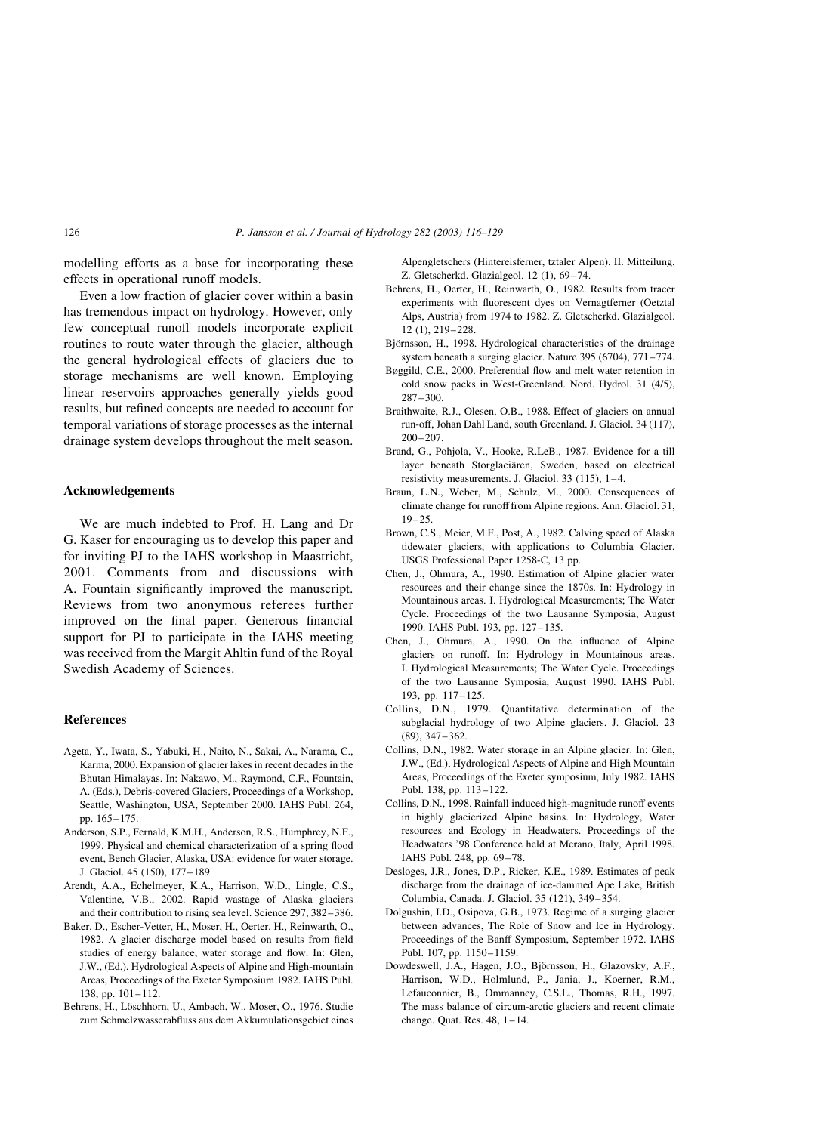<span id="page-10-0"></span>modelling efforts as a base for incorporating these effects in operational runoff models.

Even a low fraction of glacier cover within a basin has tremendous impact on hydrology. However, only few conceptual runoff models incorporate explicit routines to route water through the glacier, although the general hydrological effects of glaciers due to storage mechanisms are well known. Employing linear reservoirs approaches generally yields good results, but refined concepts are needed to account for temporal variations of storage processes as the internal drainage system develops throughout the melt season.

## Acknowledgements

We are much indebted to Prof. H. Lang and Dr G. Kaser for encouraging us to develop this paper and for inviting PJ to the IAHS workshop in Maastricht, 2001. Comments from and discussions with A. Fountain significantly improved the manuscript. Reviews from two anonymous referees further improved on the final paper. Generous financial support for PJ to participate in the IAHS meeting was received from the Margit Ahltin fund of the Royal Swedish Academy of Sciences.

#### References

- Ageta, Y., Iwata, S., Yabuki, H., Naito, N., Sakai, A., Narama, C., Karma, 2000. Expansion of glacier lakes in recent decades in the Bhutan Himalayas. In: Nakawo, M., Raymond, C.F., Fountain, A. (Eds.), Debris-covered Glaciers, Proceedings of a Workshop, Seattle, Washington, USA, September 2000. IAHS Publ. 264, pp. 165–175.
- Anderson, S.P., Fernald, K.M.H., Anderson, R.S., Humphrey, N.F., 1999. Physical and chemical characterization of a spring flood event, Bench Glacier, Alaska, USA: evidence for water storage. J. Glaciol. 45 (150), 177–189.
- Arendt, A.A., Echelmeyer, K.A., Harrison, W.D., Lingle, C.S., Valentine, V.B., 2002. Rapid wastage of Alaska glaciers and their contribution to rising sea level. Science 297, 382–386.
- Baker, D., Escher-Vetter, H., Moser, H., Oerter, H., Reinwarth, O., 1982. A glacier discharge model based on results from field studies of energy balance, water storage and flow. In: Glen, J.W., (Ed.), Hydrological Aspects of Alpine and High-mountain Areas, Proceedings of the Exeter Symposium 1982. IAHS Publ. 138, pp. 101–112.
- Behrens, H., Löschhorn, U., Ambach, W., Moser, O., 1976. Studie zum Schmelzwasserabfluss aus dem Akkumulationsgebiet eines

Alpengletschers (Hintereisferner, tztaler Alpen). II. Mitteilung. Z. Gletscherkd. Glazialgeol. 12 (1), 69–74.

- Behrens, H., Oerter, H., Reinwarth, O., 1982. Results from tracer experiments with fluorescent dyes on Vernagtferner (Oetztal Alps, Austria) from 1974 to 1982. Z. Gletscherkd. Glazialgeol. 12 (1), 219–228.
- Björnsson, H., 1998. Hydrological characteristics of the drainage system beneath a surging glacier. Nature 395 (6704), 771–774.
- Bøggild, C.E., 2000. Preferential flow and melt water retention in cold snow packs in West-Greenland. Nord. Hydrol. 31 (4/5), 287–300.
- Braithwaite, R.J., Olesen, O.B., 1988. Effect of glaciers on annual run-off, Johan Dahl Land, south Greenland. J. Glaciol. 34 (117), 200–207.
- Brand, G., Pohjola, V., Hooke, R.LeB., 1987. Evidence for a till layer beneath Storglaciaren, Sweden, based on electrical resistivity measurements. J. Glaciol. 33 (115), 1–4.
- Braun, L.N., Weber, M., Schulz, M., 2000. Consequences of climate change for runoff from Alpine regions. Ann. Glaciol. 31,  $19 - 25$
- Brown, C.S., Meier, M.F., Post, A., 1982. Calving speed of Alaska tidewater glaciers, with applications to Columbia Glacier, USGS Professional Paper 1258-C, 13 pp.
- Chen, J., Ohmura, A., 1990. Estimation of Alpine glacier water resources and their change since the 1870s. In: Hydrology in Mountainous areas. I. Hydrological Measurements; The Water Cycle. Proceedings of the two Lausanne Symposia, August 1990. IAHS Publ. 193, pp. 127–135.
- Chen, J., Ohmura, A., 1990. On the influence of Alpine glaciers on runoff. In: Hydrology in Mountainous areas. I. Hydrological Measurements; The Water Cycle. Proceedings of the two Lausanne Symposia, August 1990. IAHS Publ. 193, pp. 117–125.
- Collins, D.N., 1979. Quantitative determination of the subglacial hydrology of two Alpine glaciers. J. Glaciol. 23 (89), 347–362.
- Collins, D.N., 1982. Water storage in an Alpine glacier. In: Glen, J.W., (Ed.), Hydrological Aspects of Alpine and High Mountain Areas, Proceedings of the Exeter symposium, July 1982. IAHS Publ. 138, pp. 113–122.
- Collins, D.N., 1998. Rainfall induced high-magnitude runoff events in highly glacierized Alpine basins. In: Hydrology, Water resources and Ecology in Headwaters. Proceedings of the Headwaters '98 Conference held at Merano, Italy, April 1998. IAHS Publ. 248, pp. 69–78.
- Desloges, J.R., Jones, D.P., Ricker, K.E., 1989. Estimates of peak discharge from the drainage of ice-dammed Ape Lake, British Columbia, Canada. J. Glaciol. 35 (121), 349–354.
- Dolgushin, I.D., Osipova, G.B., 1973. Regime of a surging glacier between advances, The Role of Snow and Ice in Hydrology. Proceedings of the Banff Symposium, September 1972. IAHS Publ. 107, pp. 1150–1159.
- Dowdeswell, J.A., Hagen, J.O., Björnsson, H., Glazovsky, A.F., Harrison, W.D., Holmlund, P., Jania, J., Koerner, R.M., Lefauconnier, B., Ommanney, C.S.L., Thomas, R.H., 1997. The mass balance of circum-arctic glaciers and recent climate change. Quat. Res. 48, 1–14.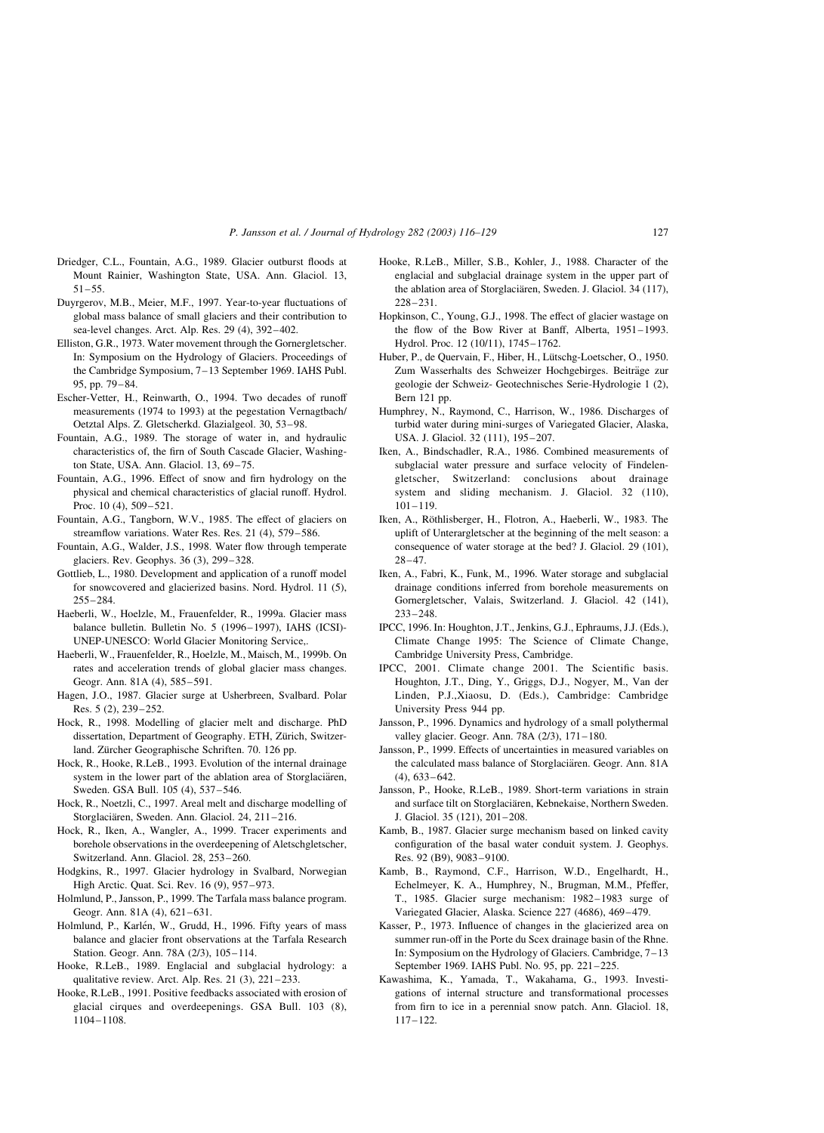- <span id="page-11-0"></span>Driedger, C.L., Fountain, A.G., 1989. Glacier outburst floods at Mount Rainier, Washington State, USA. Ann. Glaciol. 13, 51–55.
- Duyrgerov, M.B., Meier, M.F., 1997. Year-to-year fluctuations of global mass balance of small glaciers and their contribution to sea-level changes. Arct. Alp. Res. 29 (4), 392–402.
- Elliston, G.R., 1973. Water movement through the Gornergletscher. In: Symposium on the Hydrology of Glaciers. Proceedings of the Cambridge Symposium, 7–13 September 1969. IAHS Publ. 95, pp. 79–84.
- Escher-Vetter, H., Reinwarth, O., 1994. Two decades of runoff measurements (1974 to 1993) at the pegestation Vernagtbach/ Oetztal Alps. Z. Gletscherkd. Glazialgeol. 30, 53–98.
- Fountain, A.G., 1989. The storage of water in, and hydraulic characteristics of, the firn of South Cascade Glacier, Washington State, USA. Ann. Glaciol. 13, 69–75.
- Fountain, A.G., 1996. Effect of snow and firn hydrology on the physical and chemical characteristics of glacial runoff. Hydrol. Proc. 10 (4), 509–521.
- Fountain, A.G., Tangborn, W.V., 1985. The effect of glaciers on streamflow variations. Water Res. Res. 21 (4), 579–586.
- Fountain, A.G., Walder, J.S., 1998. Water flow through temperate glaciers. Rev. Geophys. 36 (3), 299–328.
- Gottlieb, L., 1980. Development and application of a runoff model for snowcovered and glacierized basins. Nord. Hydrol. 11 (5), 255–284.
- Haeberli, W., Hoelzle, M., Frauenfelder, R., 1999a. Glacier mass balance bulletin. Bulletin No. 5 (1996–1997), IAHS (ICSI)- UNEP-UNESCO: World Glacier Monitoring Service,.
- Haeberli, W., Frauenfelder, R., Hoelzle, M., Maisch, M., 1999b. On rates and acceleration trends of global glacier mass changes. Geogr. Ann. 81A (4), 585–591.
- Hagen, J.O., 1987. Glacier surge at Usherbreen, Svalbard. Polar Res. 5 (2), 239–252.
- Hock, R., 1998. Modelling of glacier melt and discharge. PhD dissertation, Department of Geography. ETH, Zürich, Switzerland. Zürcher Geographische Schriften. 70. 126 pp.
- Hock, R., Hooke, R.LeB., 1993. Evolution of the internal drainage system in the lower part of the ablation area of Storglaciaren, Sweden. GSA Bull. 105 (4), 537–546.
- Hock, R., Noetzli, C., 1997. Areal melt and discharge modelling of Storglaciären, Sweden. Ann. Glaciol. 24, 211-216.
- Hock, R., Iken, A., Wangler, A., 1999. Tracer experiments and borehole observations in the overdeepening of Aletschgletscher, Switzerland. Ann. Glaciol. 28, 253–260.
- Hodgkins, R., 1997. Glacier hydrology in Svalbard, Norwegian High Arctic. Quat. Sci. Rev. 16 (9), 957–973.
- Holmlund, P., Jansson, P., 1999. The Tarfala mass balance program. Geogr. Ann. 81A (4), 621–631.
- Holmlund, P., Karlén, W., Grudd, H., 1996. Fifty years of mass balance and glacier front observations at the Tarfala Research Station. Geogr. Ann. 78A (2/3), 105–114.
- Hooke, R.LeB., 1989. Englacial and subglacial hydrology: a qualitative review. Arct. Alp. Res. 21 (3), 221–233.
- Hooke, R.LeB., 1991. Positive feedbacks associated with erosion of glacial cirques and overdeepenings. GSA Bull. 103 (8), 1104–1108.
- Hooke, R.LeB., Miller, S.B., Kohler, J., 1988. Character of the englacial and subglacial drainage system in the upper part of the ablation area of Storglaciären, Sweden. J. Glaciol. 34 (117), 228–231.
- Hopkinson, C., Young, G.J., 1998. The effect of glacier wastage on the flow of the Bow River at Banff, Alberta, 1951–1993. Hydrol. Proc. 12 (10/11), 1745–1762.
- Huber, P., de Quervain, F., Hiber, H., Lütschg-Loetscher, O., 1950. Zum Wasserhalts des Schweizer Hochgebirges. Beiträge zur geologie der Schweiz- Geotechnisches Serie-Hydrologie 1 (2), Bern 121 pp.
- Humphrey, N., Raymond, C., Harrison, W., 1986. Discharges of turbid water during mini-surges of Variegated Glacier, Alaska, USA. J. Glaciol. 32 (111), 195–207.
- Iken, A., Bindschadler, R.A., 1986. Combined measurements of subglacial water pressure and surface velocity of Findelengletscher, Switzerland: conclusions about drainage system and sliding mechanism. J. Glaciol. 32 (110), 101–119.
- Iken, A., Röthlisberger, H., Flotron, A., Haeberli, W., 1983. The uplift of Unterargletscher at the beginning of the melt season: a consequence of water storage at the bed? J. Glaciol. 29 (101), 28–47.
- Iken, A., Fabri, K., Funk, M., 1996. Water storage and subglacial drainage conditions inferred from borehole measurements on Gornergletscher, Valais, Switzerland. J. Glaciol. 42 (141), 233–248.
- IPCC, 1996. In: Houghton, J.T., Jenkins, G.J., Ephraums, J.J. (Eds.), Climate Change 1995: The Science of Climate Change, Cambridge University Press, Cambridge.
- IPCC, 2001. Climate change 2001. The Scientific basis. Houghton, J.T., Ding, Y., Griggs, D.J., Nogyer, M., Van der Linden, P.J.,Xiaosu, D. (Eds.), Cambridge: Cambridge University Press 944 pp.
- Jansson, P., 1996. Dynamics and hydrology of a small polythermal valley glacier. Geogr. Ann. 78A (2/3), 171–180.
- Jansson, P., 1999. Effects of uncertainties in measured variables on the calculated mass balance of Storglaciaren. Geogr. Ann. 81A  $(4)$ ,  $633-642$ .
- Jansson, P., Hooke, R.LeB., 1989. Short-term variations in strain and surface tilt on Storglaciären, Kebnekaise, Northern Sweden. J. Glaciol. 35 (121), 201–208.
- Kamb, B., 1987. Glacier surge mechanism based on linked cavity configuration of the basal water conduit system. J. Geophys. Res. 92 (B9), 9083–9100.
- Kamb, B., Raymond, C.F., Harrison, W.D., Engelhardt, H., Echelmeyer, K. A., Humphrey, N., Brugman, M.M., Pfeffer, T., 1985. Glacier surge mechanism: 1982–1983 surge of Variegated Glacier, Alaska. Science 227 (4686), 469–479.
- Kasser, P., 1973. Influence of changes in the glacierized area on summer run-off in the Porte du Scex drainage basin of the Rhne. In: Symposium on the Hydrology of Glaciers. Cambridge, 7–13 September 1969. IAHS Publ. No. 95, pp. 221–225.
- Kawashima, K., Yamada, T., Wakahama, G., 1993. Investigations of internal structure and transformational processes from firn to ice in a perennial snow patch. Ann. Glaciol. 18, 117–122.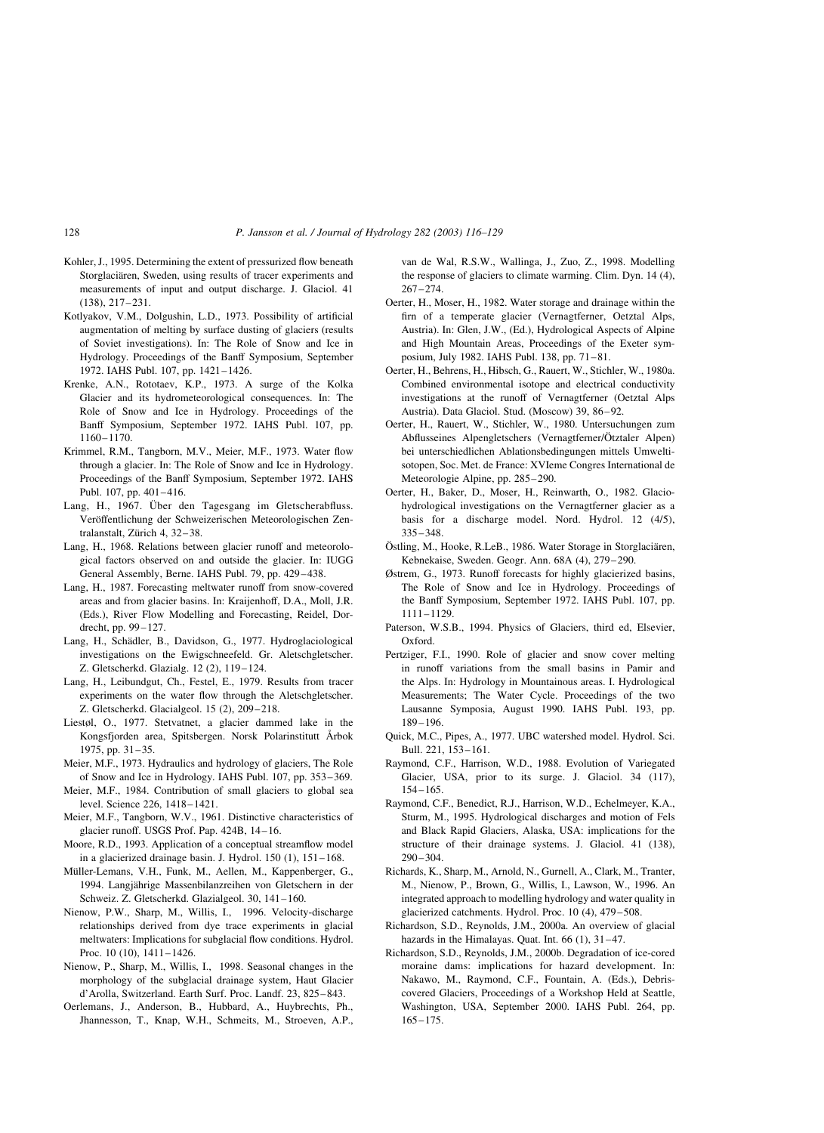- <span id="page-12-0"></span>128 P. Jansson et al. / Journal of Hydrology 282 (2003) 116–129
- Kohler, J., 1995. Determining the extent of pressurized flow beneath Storglaciären, Sweden, using results of tracer experiments and measurements of input and output discharge. J. Glaciol. 41 (138), 217–231.
- Kotlyakov, V.M., Dolgushin, L.D., 1973. Possibility of artificial augmentation of melting by surface dusting of glaciers (results of Soviet investigations). In: The Role of Snow and Ice in Hydrology. Proceedings of the Banff Symposium, September 1972. IAHS Publ. 107, pp. 1421–1426.
- Krenke, A.N., Rototaev, K.P., 1973. A surge of the Kolka Glacier and its hydrometeorological consequences. In: The Role of Snow and Ice in Hydrology. Proceedings of the Banff Symposium, September 1972. IAHS Publ. 107, pp. 1160–1170.
- Krimmel, R.M., Tangborn, M.V., Meier, M.F., 1973. Water flow through a glacier. In: The Role of Snow and Ice in Hydrology. Proceedings of the Banff Symposium, September 1972. IAHS Publ. 107, pp. 401–416.
- Lang, H., 1967. Über den Tagesgang im Gletscherabfluss. Veröffentlichung der Schweizerischen Meteorologischen Zentralanstalt, Zürich 4, 32–38.
- Lang, H., 1968. Relations between glacier runoff and meteorological factors observed on and outside the glacier. In: IUGG General Assembly, Berne. IAHS Publ. 79, pp. 429–438.
- Lang, H., 1987. Forecasting meltwater runoff from snow-covered areas and from glacier basins. In: Kraijenhoff, D.A., Moll, J.R. (Eds.), River Flow Modelling and Forecasting, Reidel, Dordrecht, pp. 99–127.
- Lang, H., Schädler, B., Davidson, G., 1977. Hydroglaciological investigations on the Ewigschneefeld. Gr. Aletschgletscher. Z. Gletscherkd. Glazialg. 12 (2), 119–124.
- Lang, H., Leibundgut, Ch., Festel, E., 1979. Results from tracer experiments on the water flow through the Aletschgletscher. Z. Gletscherkd. Glacialgeol. 15 (2), 209–218.
- Liestøl, O., 1977. Stetvatnet, a glacier dammed lake in the Kongsfjorden area, Spitsbergen. Norsk Polarinstitutt Årbok 1975, pp. 31–35.
- Meier, M.F., 1973. Hydraulics and hydrology of glaciers, The Role of Snow and Ice in Hydrology. IAHS Publ. 107, pp. 353–369.
- Meier, M.F., 1984. Contribution of small glaciers to global sea level. Science 226, 1418–1421.
- Meier, M.F., Tangborn, W.V., 1961. Distinctive characteristics of glacier runoff. USGS Prof. Pap. 424B, 14–16.
- Moore, R.D., 1993. Application of a conceptual streamflow model in a glacierized drainage basin. J. Hydrol. 150 (1), 151–168.
- Müller-Lemans, V.H., Funk, M., Aellen, M., Kappenberger, G., 1994. Langjährige Massenbilanzreihen von Gletschern in der Schweiz. Z. Gletscherkd. Glazialgeol. 30, 141–160.
- Nienow, P.W., Sharp, M., Willis, I., 1996. Velocity-discharge relationships derived from dye trace experiments in glacial meltwaters: Implications for subglacial flow conditions. Hydrol. Proc. 10 (10), 1411–1426.
- Nienow, P., Sharp, M., Willis, I., 1998. Seasonal changes in the morphology of the subglacial drainage system, Haut Glacier d'Arolla, Switzerland. Earth Surf. Proc. Landf. 23, 825–843.
- Oerlemans, J., Anderson, B., Hubbard, A., Huybrechts, Ph., Jhannesson, T., Knap, W.H., Schmeits, M., Stroeven, A.P.,

van de Wal, R.S.W., Wallinga, J., Zuo, Z., 1998. Modelling the response of glaciers to climate warming. Clim. Dyn. 14 (4),  $267 - 274$ .

- Oerter, H., Moser, H., 1982. Water storage and drainage within the firn of a temperate glacier (Vernagtferner, Oetztal Alps, Austria). In: Glen, J.W., (Ed.), Hydrological Aspects of Alpine and High Mountain Areas, Proceedings of the Exeter symposium, July 1982. IAHS Publ. 138, pp. 71–81.
- Oerter, H., Behrens, H., Hibsch, G., Rauert, W., Stichler, W., 1980a. Combined environmental isotope and electrical conductivity investigations at the runoff of Vernagtferner (Oetztal Alps Austria). Data Glaciol. Stud. (Moscow) 39, 86–92.
- Oerter, H., Rauert, W., Stichler, W., 1980. Untersuchungen zum Abflusseines Alpengletschers (Vernagtferner/Ötztaler Alpen) bei unterschiedlichen Ablationsbedingungen mittels Umweltisotopen, Soc. Met. de France: XVIeme Congres International de Meteorologie Alpine, pp. 285–290.
- Oerter, H., Baker, D., Moser, H., Reinwarth, O., 1982. Glaciohydrological investigations on the Vernagtferner glacier as a basis for a discharge model. Nord. Hydrol. 12 (4/5), 335–348.
- Östling, M., Hooke, R.LeB., 1986. Water Storage in Storglaciären, Kebnekaise, Sweden. Geogr. Ann. 68A (4), 279–290.
- Østrem, G., 1973. Runoff forecasts for highly glacierized basins, The Role of Snow and Ice in Hydrology. Proceedings of the Banff Symposium, September 1972. IAHS Publ. 107, pp. 1111–1129.
- Paterson, W.S.B., 1994. Physics of Glaciers, third ed, Elsevier, Oxford.
- Pertziger, F.I., 1990. Role of glacier and snow cover melting in runoff variations from the small basins in Pamir and the Alps. In: Hydrology in Mountainous areas. I. Hydrological Measurements; The Water Cycle. Proceedings of the two Lausanne Symposia, August 1990. IAHS Publ. 193, pp. 189–196.
- Quick, M.C., Pipes, A., 1977. UBC watershed model. Hydrol. Sci. Bull. 221, 153–161.
- Raymond, C.F., Harrison, W.D., 1988. Evolution of Variegated Glacier, USA, prior to its surge. J. Glaciol. 34 (117), 154–165.
- Raymond, C.F., Benedict, R.J., Harrison, W.D., Echelmeyer, K.A., Sturm, M., 1995. Hydrological discharges and motion of Fels and Black Rapid Glaciers, Alaska, USA: implications for the structure of their drainage systems. J. Glaciol. 41 (138), 290–304.
- Richards, K., Sharp, M., Arnold, N., Gurnell, A., Clark, M., Tranter, M., Nienow, P., Brown, G., Willis, I., Lawson, W., 1996. An integrated approach to modelling hydrology and water quality in glacierized catchments. Hydrol. Proc. 10 (4), 479–508.
- Richardson, S.D., Reynolds, J.M., 2000a. An overview of glacial hazards in the Himalayas. Quat. Int. 66 (1), 31-47.
- Richardson, S.D., Reynolds, J.M., 2000b. Degradation of ice-cored moraine dams: implications for hazard development. In: Nakawo, M., Raymond, C.F., Fountain, A. (Eds.), Debriscovered Glaciers, Proceedings of a Workshop Held at Seattle, Washington, USA, September 2000. IAHS Publ. 264, pp.  $165 - 175$ .